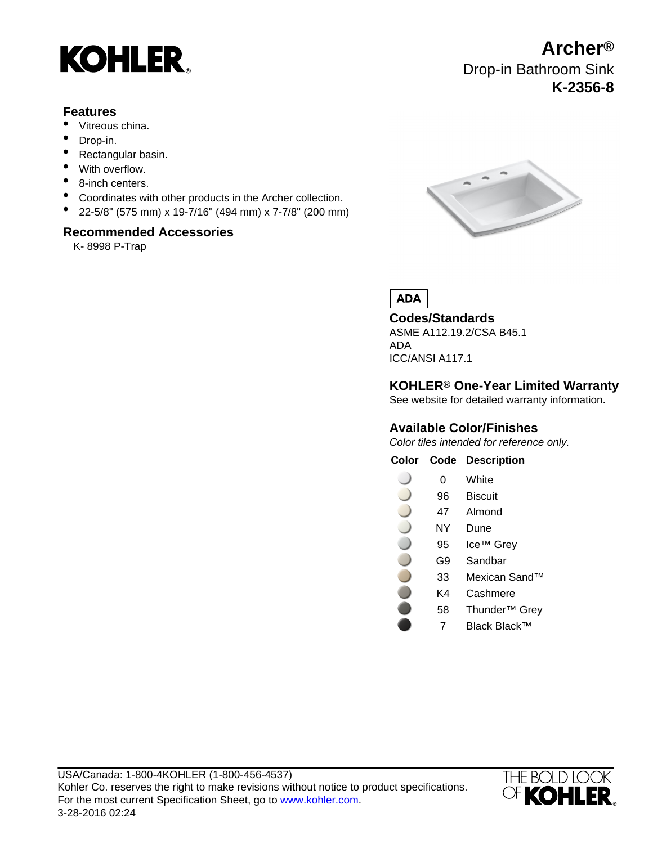

# **Features**

- Vitreous china.
- Drop-in.
- Rectangular basin.
- With overflow.
- 8-inch centers.
- Coordinates with other products in the Archer collection.
- 22-5/8" (575 mm) x 19-7/16" (494 mm) x 7-7/8" (200 mm)

## **Recommended Accessories**

K- 8998 P-Trap



Drop-in Bathroom Sink

**Archer®**

**K-2356-8**

**ADA** 

**Codes/Standards** ASME A112.19.2/CSA B45.1 ADA

ICC/ANSI A117.1

# **KOHLER® One-Year Limited Warranty**

See website for detailed warranty information.

# **Available Color/Finishes**

Color tiles intended for reference only.

### **Color Code Description**

- 0 White  $\big)$
- 96 Biscuit
- 47 Almond
- NY Dune
- 95 Ice™ Grey
- G9 Sandbar
- 33 Mexican Sand™
- K4 Cashmere
- 58 Thunder™ Grey
	- 7 Black Black™